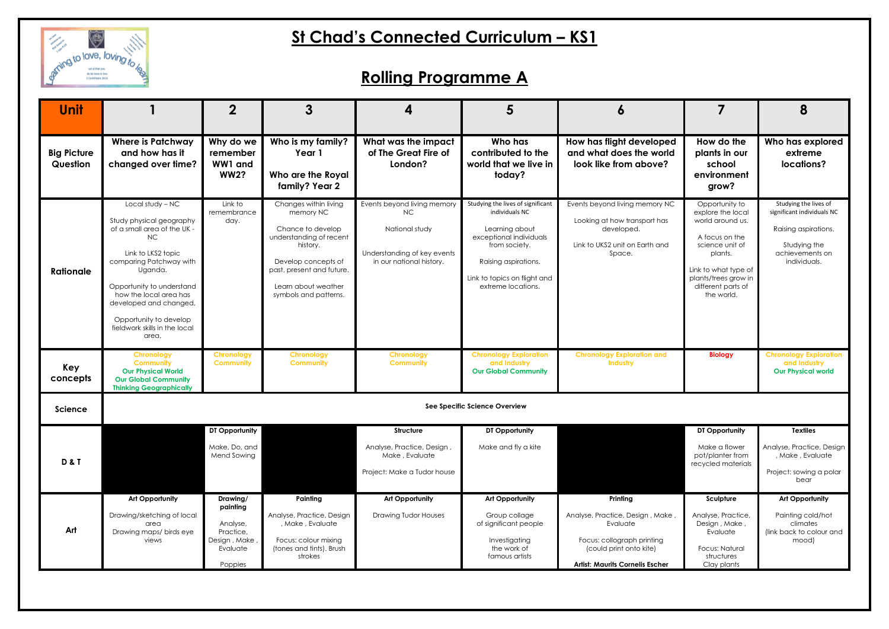

## **St Chad's Connected Curriculum – KS1**

## **Rolling Programme A**

| <b>Unit</b>                    |                                                                                                                                                                                                                                                                                                    | $\mathbf 2$                                                                           | 3                                                                                                                                                                                                  | 4                                                                                                               | 5                                                                                                                                                                                               | Ô                                                                                                                                                          |                                                                                                                                                                                             | 8                                                                                                                              |
|--------------------------------|----------------------------------------------------------------------------------------------------------------------------------------------------------------------------------------------------------------------------------------------------------------------------------------------------|---------------------------------------------------------------------------------------|----------------------------------------------------------------------------------------------------------------------------------------------------------------------------------------------------|-----------------------------------------------------------------------------------------------------------------|-------------------------------------------------------------------------------------------------------------------------------------------------------------------------------------------------|------------------------------------------------------------------------------------------------------------------------------------------------------------|---------------------------------------------------------------------------------------------------------------------------------------------------------------------------------------------|--------------------------------------------------------------------------------------------------------------------------------|
| <b>Big Picture</b><br>Question | <b>Where is Patchway</b><br>and how has it<br>changed over time?                                                                                                                                                                                                                                   | Why do we<br>remember<br>WW1 and<br><b>WW2?</b>                                       | Who is my family?<br>Year 1<br>Who are the Royal<br>family? Year 2                                                                                                                                 | What was the impact<br>of The Great Fire of<br>London?                                                          | Who has<br>contributed to the<br>world that we live in<br>today?                                                                                                                                | How has flight developed<br>and what does the world<br>look like from above?                                                                               | How do the<br>plants in our<br>school<br>environment<br>grow?                                                                                                                               | Who has explored<br>extreme<br>locations?                                                                                      |
| <b>Rationale</b>               | Local study - NC<br>Study physical geography<br>of a small area of the UK -<br>NC<br>Link to LKS2 topic<br>comparing Patchway with<br>Uganda.<br>Opportunity to understand<br>how the local area has<br>developed and changed,<br>Opportunity to develop<br>fieldwork skills in the local<br>area. | Link to<br>remembrance<br>day.                                                        | Changes within living<br>memory NC<br>Chance to develop<br>understanding of recent<br>history.<br>Develop concepts of<br>past, present and future.<br>Learn about weather<br>symbols and patterns. | Events beyond living memory<br>NC.<br>National study<br>Understanding of key events<br>in our national history. | Studying the lives of significant<br>individuals NC<br>Learning about<br>exceptional individuals<br>from society.<br>Raising aspirations.<br>Link to topics on flight and<br>extreme locations. | Events beyond living memory NC<br>Looking at how transport has<br>developed.<br>Link to UKS2 unit on Earth and<br>Space.                                   | Opportunity to<br>explore the local<br>world around us.<br>A focus on the<br>science unit of<br>plants.<br>Link to what type of<br>plants/trees grow in<br>different parts of<br>the world. | Studying the lives of<br>significant individuals NC<br>Raising aspirations.<br>Studying the<br>achievements on<br>individuals. |
| Key<br>concepts                | <b>Chronology</b><br><b>Community</b><br><b>Our Physical World</b><br><b>Our Global Community</b><br><b>Thinking Geographically</b>                                                                                                                                                                | <b>Chronology</b><br><b>Community</b>                                                 | <b>Chronology</b><br><b>Community</b>                                                                                                                                                              | <b>Chronology</b><br><b>Community</b>                                                                           | <b>Chronology Exploration</b><br>and Industry<br><b>Our Global Community</b>                                                                                                                    | <b>Chronology Exploration and</b><br>Industry                                                                                                              | <b>Biology</b>                                                                                                                                                                              | <b>Chronology Exploration</b><br>and Industry<br><b>Our Physical world</b>                                                     |
| <b>Science</b>                 | See Specific Science Overview                                                                                                                                                                                                                                                                      |                                                                                       |                                                                                                                                                                                                    |                                                                                                                 |                                                                                                                                                                                                 |                                                                                                                                                            |                                                                                                                                                                                             |                                                                                                                                |
| <b>D&amp;T</b>                 |                                                                                                                                                                                                                                                                                                    | DT Opportunity<br>Make, Do, and<br><b>Mend Sowing</b>                                 |                                                                                                                                                                                                    | Structure<br>Analyse, Practice, Design,<br>Make, Evaluate<br>Project: Make a Tudor house                        | DT Opportunity<br>Make and fly a kite                                                                                                                                                           |                                                                                                                                                            | DT Opportunity<br>Make a flower<br>pot/planter from<br>recycled materials                                                                                                                   | <b>Textiles</b><br>Analyse, Practice, Design<br>, Make, Evaluate<br>Project: sowing a polar<br>bear                            |
| Art                            | <b>Art Opportunity</b><br>Drawing/sketching of local<br>area<br>Drawing maps/ birds eye<br>views                                                                                                                                                                                                   | Drawing/<br>painting<br>Analyse,<br>Practice,<br>Design, Make,<br>Evaluate<br>Poppies | Painting<br>Analyse, Practice, Design<br>, Make, Evaluate<br>Focus: colour mixing<br>(tones and tints). Brush<br>strokes                                                                           | <b>Art Opportunity</b><br><b>Drawing Tudor Houses</b>                                                           | <b>Art Opportunity</b><br>Group collage<br>of significant people<br>Investigating<br>the work of<br>famous artists                                                                              | Printing<br>Analyse, Practice, Design, Make<br>Evaluate<br>Focus: collograph printing<br>(could print onto kite)<br><b>Artist: Maurits Cornelis Escher</b> | Sculpture<br>Analyse, Practice,<br>Design, Make,<br>Evaluate<br>Focus: Natural<br>structures<br>Clay plants                                                                                 | <b>Art Opportunity</b><br>Painting cold/hot<br>climates<br>(link back to colour and<br>mood)                                   |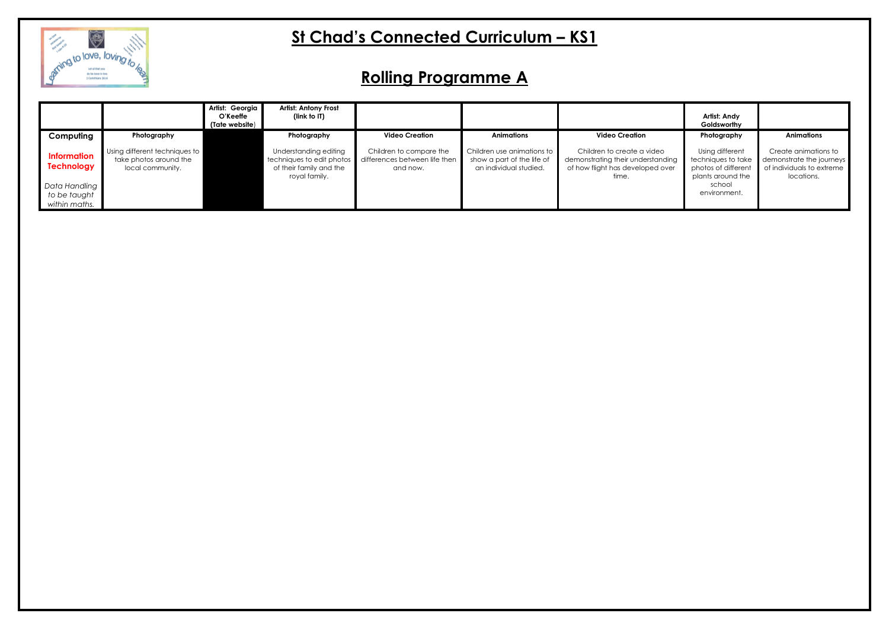

## **St Chad's Connected Curriculum – KS1**

# **Rolling Programme A**

|                                                |                                                                             | Artist: Georgia<br>O'Keeffe<br>(Tate website) | <b>Artist: Antony Frost</b><br>(link to IT)                                                    |                                                                      |                                                                                    |                                                                                                              | Artist: Andy<br>Goldsworthy                                                       |                                                                                             |
|------------------------------------------------|-----------------------------------------------------------------------------|-----------------------------------------------|------------------------------------------------------------------------------------------------|----------------------------------------------------------------------|------------------------------------------------------------------------------------|--------------------------------------------------------------------------------------------------------------|-----------------------------------------------------------------------------------|---------------------------------------------------------------------------------------------|
| Computing                                      | Photography                                                                 |                                               | Photography                                                                                    | <b>Video Creation</b>                                                | Animations                                                                         | <b>Video Creation</b>                                                                                        | Photography                                                                       | <b>Animations</b>                                                                           |
| <b>Information</b><br><b>Technology</b>        | Using different techniques to<br>take photos around the<br>local community. |                                               | Understanding editing<br>techniques to edit photos<br>of their family and the<br>royal family. | Children to compare the<br>differences between life then<br>and now. | Children use animations to<br>show a part of the life of<br>an individual studied. | Children to create a video<br>demonstrating their understanding<br>of how flight has developed over<br>time. | Using different<br>techniques to take<br>photos of different<br>plants around the | Create animations to<br>demonstrate the journeys<br>of individuals to extreme<br>locations. |
| Data Handling<br>to be taught<br>within maths. |                                                                             |                                               |                                                                                                |                                                                      |                                                                                    |                                                                                                              | school<br>environment.                                                            |                                                                                             |